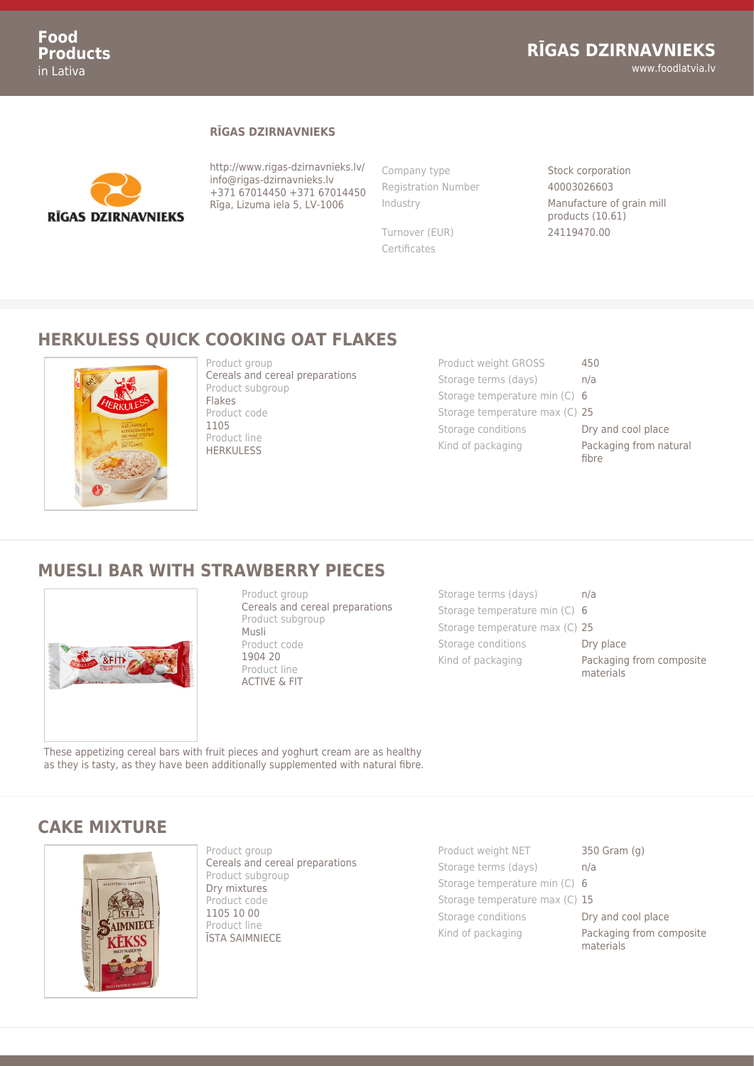#### **RĪGAS DZIRNAVNIEKS**



http://www.rigas-dzirnavnieks.lv/ info@rigas-dzirnavnieks.lv +371 67014450 +371 67014450 Rīga, Lizuma iela 5, LV-1006

Company type Stock corporation Registration Number 40003026603

Certificates

Industry Manufacture of grain mill products (10.61) Turnover (EUR) 24119470.00

## **HERKULESS QUICK COOKING OAT FLAKES**



Product group Cereals and cereal preparations Product subgroup Flakes Product code 1105 Product line **HERKULESS** 

| Product weight GROSS           | 450                             |
|--------------------------------|---------------------------------|
| Storage terms (days)           | n/a                             |
| Storage temperature min (C) 6  |                                 |
| Storage temperature max (C) 25 |                                 |
| Storage conditions             | Dry and cool place              |
| Kind of packaging              | Packaging from natural<br>fibre |

#### **MUESLI BAR WITH STRAWBERRY PIECES**



Product group Cereals and cereal preparations Product subgroup Musli Product code 1904 20 Product line ACTIVE & FIT

Storage terms (days) h/a Storage temperature min (C) 6 Storage temperature max (C) 25 Storage conditions **Dry place** Kind of packaging **Packaging from composite** materials

These appetizing cereal bars with fruit pieces and yoghurt cream are as healthy as they is tasty, as they have been additionally supplemented with natural fibre.

# **CAKE MIXTURE**



Product group Cereals and cereal preparations Product subgroup Dry mixtures Product code 1105 10 00 Product line ĪSTA SAIMNIECE

Product weight NET 350 Gram (g) Storage terms (days) h/a Storage temperature min (C) 6 Storage temperature max (C) 15 Storage conditions **Dry and cool place** Kind of packaging **Packaging from composite** 

materials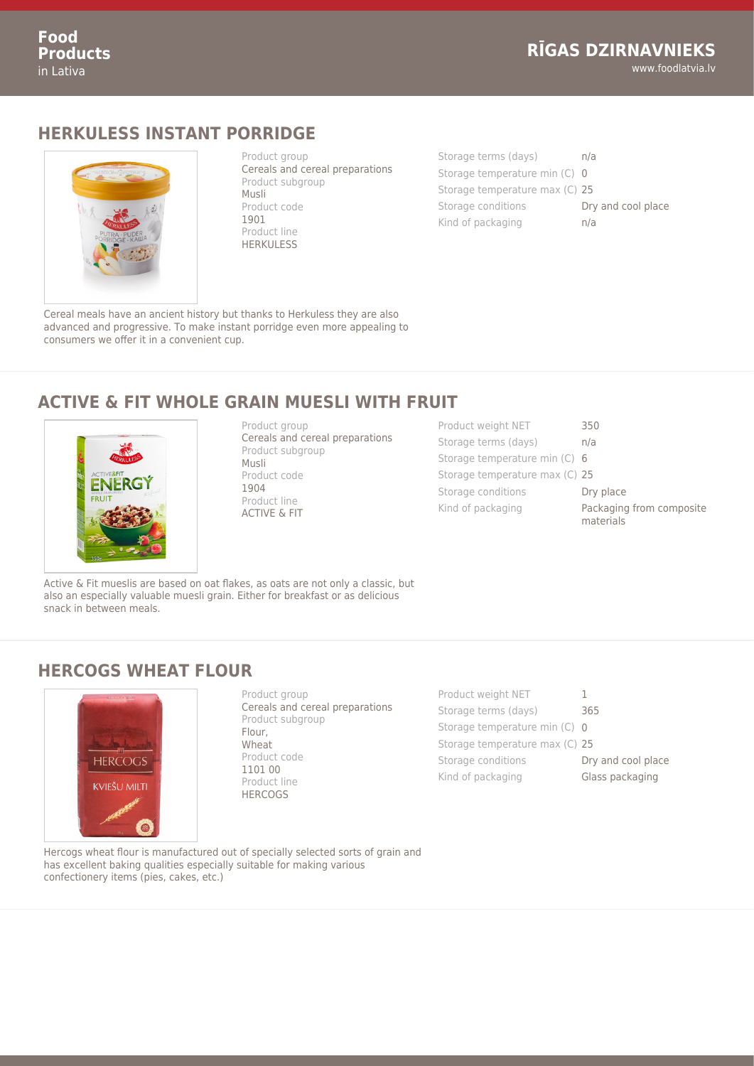#### **HERKULESS INSTANT PORRIDGE**



Product group Cereals and cereal preparations Product subgroup Musli Product code 1901 Product line **HERKULESS** 

| Storage terms (days)           | n/a                |
|--------------------------------|--------------------|
| Storage temperature min (C) 0  |                    |
| Storage temperature max (C) 25 |                    |
| Storage conditions             | Dry and cool place |
| Kind of packaging              | n/a                |

Cereal meals have an ancient history but thanks to Herkuless they are also advanced and progressive. To make instant porridge even more appealing to consumers we offer it in a convenient cup.

## **ACTIVE & FIT WHOLE GRAIN MUESLI WITH FRUIT**



Product group Cereals and cereal preparations Product subgroup Musli Product code 1904 Product line ACTIVE & FIT

| Product weight NET             | 350                                   |
|--------------------------------|---------------------------------------|
| Storage terms (days)           | n/a                                   |
| Storage temperature min (C) 6  |                                       |
| Storage temperature max (C) 25 |                                       |
| Storage conditions             | Dry place                             |
| Kind of packaging              | Packaging from composite<br>materials |

Active & Fit mueslis are based on oat flakes, as oats are not only a classic, but also an especially valuable muesli grain. Either for breakfast or as delicious snack in between meals.

#### **HERCOGS WHEAT FLOUR**



Product group Cereals and cereal preparations Product subgroup Flour, Wheat Product code 1101 00 Product line **HERCOGS** 

Product weight NET 1 Storage terms (days) 365 Storage temperature min (C) 0 Storage temperature max (C) 25 Storage conditions **Dry and cool place** Kind of packaging **Glass packaging** 

Hercogs wheat flour is manufactured out of specially selected sorts of grain and has excellent baking qualities especially suitable for making various confectionery items (pies, cakes, etc.)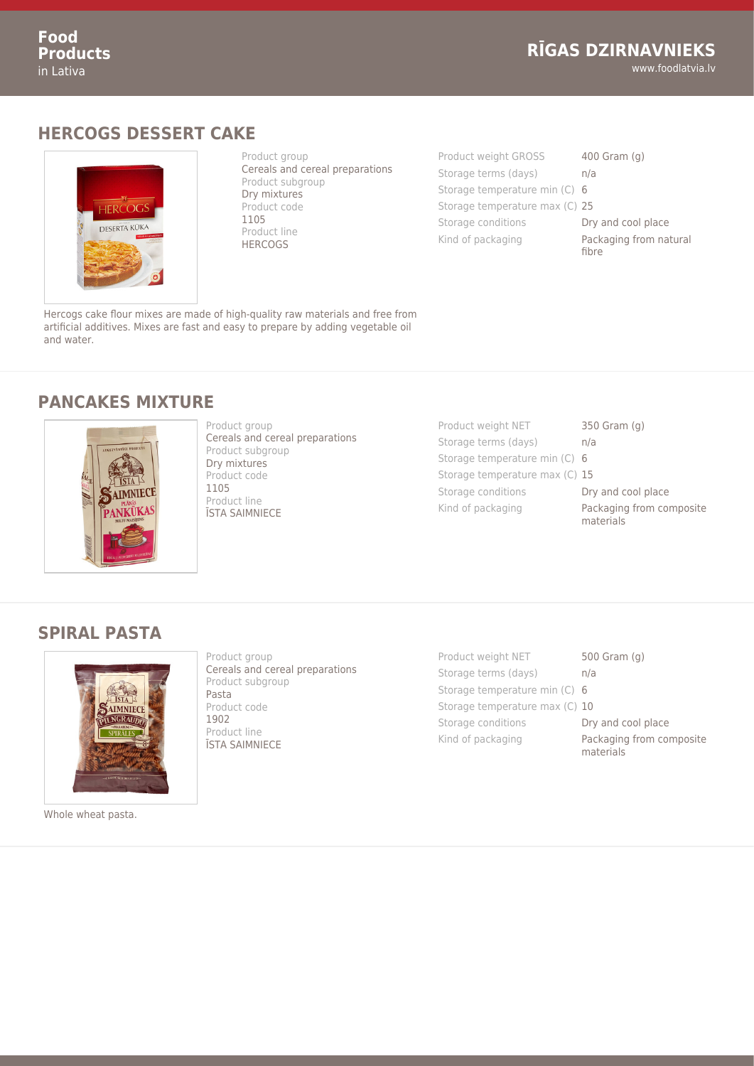www.foodlatvia.lv

# **HERCOGS DESSERT CAKE**



Product group Cereals and cereal preparations Product subgroup Dry mixtures Product code 1105 Product line **HERCOGS** 

Product weight GROSS 400 Gram (g) Storage terms (days) an/a Storage temperature min (C) 6 Storage temperature max (C) 25 Storage conditions **Dry and cool place** Kind of packaging **Packaging from natural** fibre

Hercogs cake flour mixes are made of high-quality raw materials and free from artificial additives. Mixes are fast and easy to prepare by adding vegetable oil and water.

#### **PANCAKES MIXTURE**



Product group Cereals and cereal preparations Product subgroup Dry mixtures Product code 1105 Product line ĪSTA SAIMNIECE

- Product weight NET 350 Gram (g) Storage terms (days) an/a Storage temperature min (C) 6 Storage temperature max (C) 15 Storage conditions **Dry and cool place** Kind of packaging **Packaging from composite** 
	-
	-
	- - - materials

## **SPIRAL PASTA**



Whole wheat pasta.

Product group Cereals and cereal preparations Product subgroup Pasta Product code 1902 Product line ĪSTA SAIMNIECE

Product weight NET 500 Gram (g) Storage terms (days) h/a Storage temperature min (C) 6 Storage temperature max (C) 10 Storage conditions **Dry and cool place** Kind of packaging **Packaging from composite** 

materials